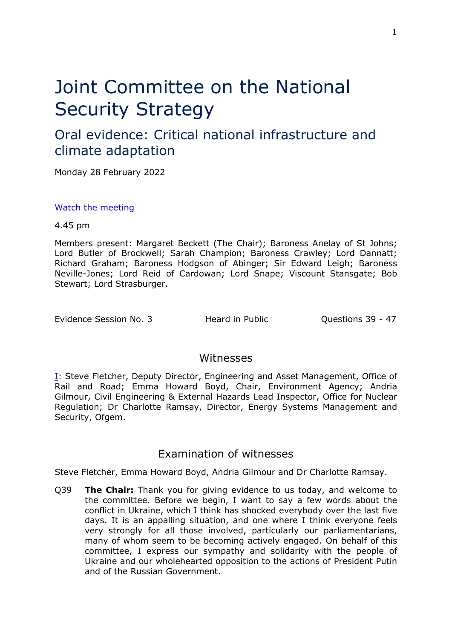# Joint Committee on the National Security Strategy

# Oral evidence: Critical national infrastructure and climate adaptation

Monday 28 February 2022

[Watch](https://parliamentlive.tv/event/index/1585c66c-d9d5-4229-b50c-0db778f00a45) [the](https://parliamentlive.tv/event/index/1585c66c-d9d5-4229-b50c-0db778f00a45) [meeting](https://parliamentlive.tv/event/index/1585c66c-d9d5-4229-b50c-0db778f00a45)

4.45 pm

Members present: Margaret Beckett (The Chair); Baroness Anelay of St Johns; Lord Butler of Brockwell; Sarah Champion; Baroness Crawley; Lord Dannatt; Richard Graham; Baroness Hodgson of Abinger; Sir Edward Leigh; Baroness Neville-Jones; Lord Reid of Cardowan; Lord Snape; Viscount Stansgate; Bob Stewart; Lord Strasburger.

Evidence Session No. 3 Theard in Public Cuestions 39 - 47

### Witnesses

[I:](#page-0-0) Steve Fletcher, Deputy Director, Engineering and Asset Management, Office of Rail and Road; Emma Howard Boyd, Chair, Environment Agency; Andria Gilmour, Civil Engineering & External Hazards Lead Inspector, Office for Nuclear Regulation; Dr Charlotte Ramsay, Director, Energy Systems Management and Security, Ofgem.

## <span id="page-0-0"></span>Examination of witnesses

Steve Fletcher, Emma Howard Boyd, Andria Gilmour and Dr Charlotte Ramsay.

Q39 **The Chair:** Thank you for giving evidence to us today, and welcome to the committee. Before we begin, I want to say a few words about the conflict in Ukraine, which I think has shocked everybody over the last five days. It is an appalling situation, and one where I think everyone feels very strongly for all those involved, particularly our parliamentarians, many of whom seem to be becoming actively engaged. On behalf of this committee, I express our sympathy and solidarity with the people of Ukraine and our wholehearted opposition to the actions of President Putin and of the Russian Government.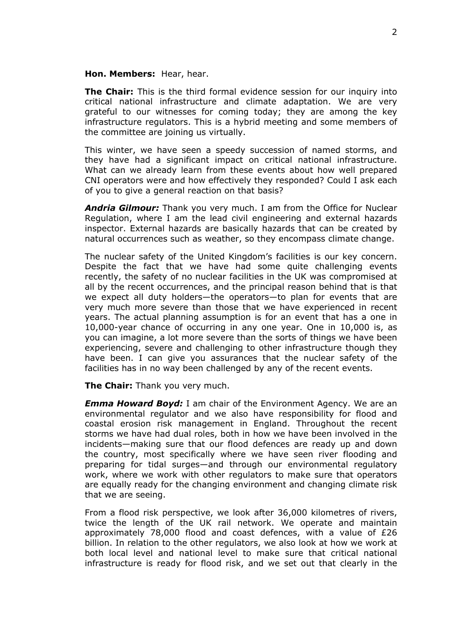#### **Hon. Members:** Hear, hear.

**The Chair:** This is the third formal evidence session for our inquiry into critical national infrastructure and climate adaptation. We are very grateful to our witnesses for coming today; they are among the key infrastructure regulators. This is a hybrid meeting and some members of the committee are joining us virtually.

This winter, we have seen a speedy succession of named storms, and they have had a significant impact on critical national infrastructure. What can we already learn from these events about how well prepared CNI operators were and how effectively they responded? Could I ask each of you to give a general reaction on that basis?

*Andria Gilmour:* Thank you very much. I am from the Office for Nuclear Regulation, where I am the lead civil engineering and external hazards inspector. External hazards are basically hazards that can be created by natural occurrences such as weather, so they encompass climate change.

The nuclear safety of the United Kingdom's facilities is our key concern. Despite the fact that we have had some quite challenging events recently, the safety of no nuclear facilities in the UK was compromised at all by the recent occurrences, and the principal reason behind that is that we expect all duty holders—the operators—to plan for events that are very much more severe than those that we have experienced in recent years. The actual planning assumption is for an event that has a one in 10,000-year chance of occurring in any one year. One in 10,000 is, as you can imagine, a lot more severe than the sorts of things we have been experiencing, severe and challenging to other infrastructure though they have been. I can give you assurances that the nuclear safety of the facilities has in no way been challenged by any of the recent events.

**The Chair:** Thank you very much.

*Emma Howard Boyd:* I am chair of the Environment Agency. We are an environmental regulator and we also have responsibility for flood and coastal erosion risk management in England. Throughout the recent storms we have had dual roles, both in how we have been involved in the incidents—making sure that our flood defences are ready up and down the country, most specifically where we have seen river flooding and preparing for tidal surges—and through our environmental regulatory work, where we work with other regulators to make sure that operators are equally ready for the changing environment and changing climate risk that we are seeing.

From a flood risk perspective, we look after 36,000 kilometres of rivers, twice the length of the UK rail network. We operate and maintain approximately 78,000 flood and coast defences, with a value of £26 billion. In relation to the other regulators, we also look at how we work at both local level and national level to make sure that critical national infrastructure is ready for flood risk, and we set out that clearly in the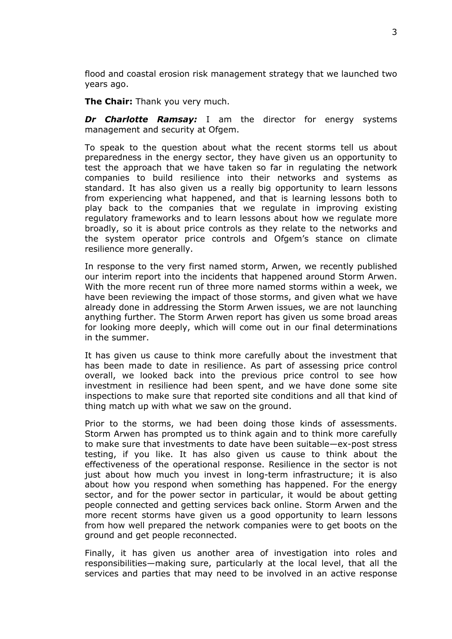flood and coastal erosion risk management strategy that we launched two years ago.

**The Chair:** Thank you very much.

*Dr Charlotte Ramsay:* I am the director for energy systems management and security at Ofgem.

To speak to the question about what the recent storms tell us about preparedness in the energy sector, they have given us an opportunity to test the approach that we have taken so far in regulating the network companies to build resilience into their networks and systems as standard. It has also given us a really big opportunity to learn lessons from experiencing what happened, and that is learning lessons both to play back to the companies that we regulate in improving existing regulatory frameworks and to learn lessons about how we regulate more broadly, so it is about price controls as they relate to the networks and the system operator price controls and Ofgem's stance on climate resilience more generally.

In response to the very first named storm, Arwen, we recently published our interim report into the incidents that happened around Storm Arwen. With the more recent run of three more named storms within a week, we have been reviewing the impact of those storms, and given what we have already done in addressing the Storm Arwen issues, we are not launching anything further. The Storm Arwen report has given us some broad areas for looking more deeply, which will come out in our final determinations in the summer.

It has given us cause to think more carefully about the investment that has been made to date in resilience. As part of assessing price control overall, we looked back into the previous price control to see how investment in resilience had been spent, and we have done some site inspections to make sure that reported site conditions and all that kind of thing match up with what we saw on the ground.

Prior to the storms, we had been doing those kinds of assessments. Storm Arwen has prompted us to think again and to think more carefully to make sure that investments to date have been suitable—ex-post stress testing, if you like. It has also given us cause to think about the effectiveness of the operational response. Resilience in the sector is not just about how much you invest in long-term infrastructure; it is also about how you respond when something has happened. For the energy sector, and for the power sector in particular, it would be about getting people connected and getting services back online. Storm Arwen and the more recent storms have given us a good opportunity to learn lessons from how well prepared the network companies were to get boots on the ground and get people reconnected.

Finally, it has given us another area of investigation into roles and responsibilities—making sure, particularly at the local level, that all the services and parties that may need to be involved in an active response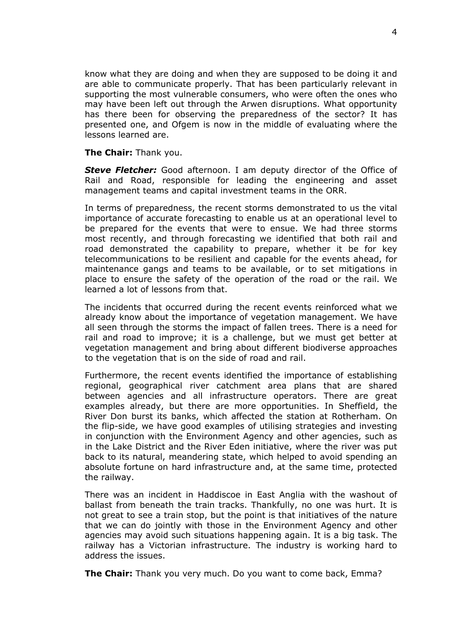know what they are doing and when they are supposed to be doing it and are able to communicate properly. That has been particularly relevant in supporting the most vulnerable consumers, who were often the ones who may have been left out through the Arwen disruptions. What opportunity has there been for observing the preparedness of the sector? It has presented one, and Ofgem is now in the middle of evaluating where the lessons learned are.

#### **The Chair:** Thank you.

*Steve Fletcher:* Good afternoon. I am deputy director of the Office of Rail and Road, responsible for leading the engineering and asset management teams and capital investment teams in the ORR.

In terms of preparedness, the recent storms demonstrated to us the vital importance of accurate forecasting to enable us at an operational level to be prepared for the events that were to ensue. We had three storms most recently, and through forecasting we identified that both rail and road demonstrated the capability to prepare, whether it be for key telecommunications to be resilient and capable for the events ahead, for maintenance gangs and teams to be available, or to set mitigations in place to ensure the safety of the operation of the road or the rail. We learned a lot of lessons from that.

The incidents that occurred during the recent events reinforced what we already know about the importance of vegetation management. We have all seen through the storms the impact of fallen trees. There is a need for rail and road to improve; it is a challenge, but we must get better at vegetation management and bring about different biodiverse approaches to the vegetation that is on the side of road and rail.

Furthermore, the recent events identified the importance of establishing regional, geographical river catchment area plans that are shared between agencies and all infrastructure operators. There are great examples already, but there are more opportunities. In Sheffield, the River Don burst its banks, which affected the station at Rotherham. On the flip-side, we have good examples of utilising strategies and investing in conjunction with the Environment Agency and other agencies, such as in the Lake District and the River Eden initiative, where the river was put back to its natural, meandering state, which helped to avoid spending an absolute fortune on hard infrastructure and, at the same time, protected the railway.

There was an incident in Haddiscoe in East Anglia with the washout of ballast from beneath the train tracks. Thankfully, no one was hurt. It is not great to see a train stop, but the point is that initiatives of the nature that we can do jointly with those in the Environment Agency and other agencies may avoid such situations happening again. It is a big task. The railway has a Victorian infrastructure. The industry is working hard to address the issues.

**The Chair:** Thank you very much. Do you want to come back, Emma?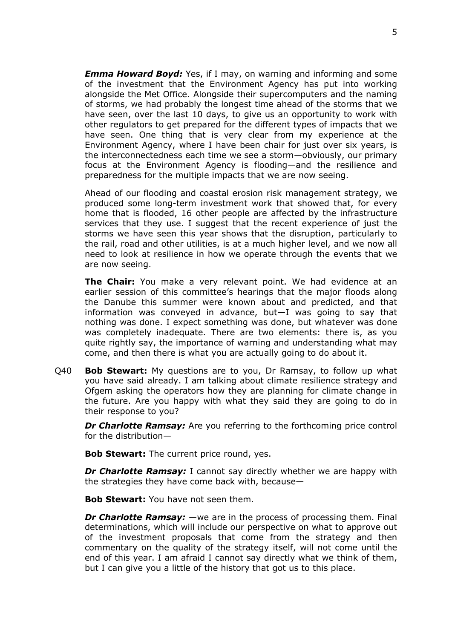*Emma Howard Boyd:* Yes, if I may, on warning and informing and some of the investment that the Environment Agency has put into working alongside the Met Office. Alongside their supercomputers and the naming of storms, we had probably the longest time ahead of the storms that we have seen, over the last 10 days, to give us an opportunity to work with other regulators to get prepared for the different types of impacts that we have seen. One thing that is very clear from my experience at the Environment Agency, where I have been chair for just over six years, is the interconnectedness each time we see a storm—obviously, our primary focus at the Environment Agency is flooding—and the resilience and preparedness for the multiple impacts that we are now seeing.

Ahead of our flooding and coastal erosion risk management strategy, we produced some long-term investment work that showed that, for every home that is flooded, 16 other people are affected by the infrastructure services that they use. I suggest that the recent experience of just the storms we have seen this year shows that the disruption, particularly to the rail, road and other utilities, is at a much higher level, and we now all need to look at resilience in how we operate through the events that we are now seeing.

**The Chair:** You make a very relevant point. We had evidence at an earlier session of this committee's hearings that the major floods along the Danube this summer were known about and predicted, and that information was conveyed in advance, but—I was going to say that nothing was done. I expect something was done, but whatever was done was completely inadequate. There are two elements: there is, as you quite rightly say, the importance of warning and understanding what may come, and then there is what you are actually going to do about it.

Q40 **Bob Stewart:** My questions are to you, Dr Ramsay, to follow up what you have said already. I am talking about climate resilience strategy and Ofgem asking the operators how they are planning for climate change in the future. Are you happy with what they said they are going to do in their response to you?

*Dr Charlotte Ramsay:* Are you referring to the forthcoming price control for the distribution—

**Bob Stewart:** The current price round, yes.

*Dr Charlotte Ramsay:* I cannot say directly whether we are happy with the strategies they have come back with, because—

**Bob Stewart:** You have not seen them.

*Dr Charlotte Ramsay:* —we are in the process of processing them. Final determinations, which will include our perspective on what to approve out of the investment proposals that come from the strategy and then commentary on the quality of the strategy itself, will not come until the end of this year. I am afraid I cannot say directly what we think of them, but I can give you a little of the history that got us to this place.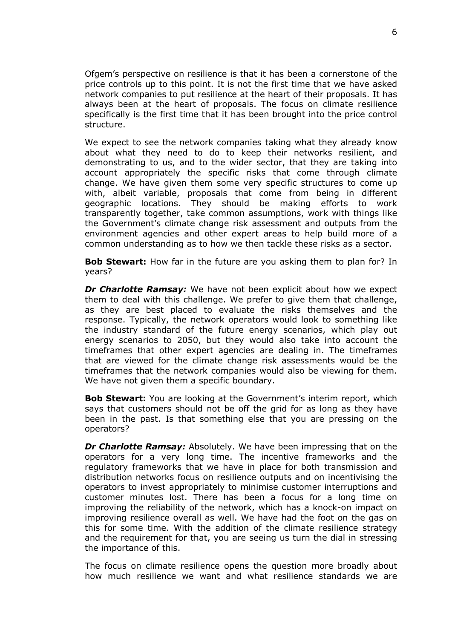Ofgem's perspective on resilience is that it has been a cornerstone of the price controls up to this point. It is not the first time that we have asked network companies to put resilience at the heart of their proposals. It has always been at the heart of proposals. The focus on climate resilience specifically is the first time that it has been brought into the price control structure.

We expect to see the network companies taking what they already know about what they need to do to keep their networks resilient, and demonstrating to us, and to the wider sector, that they are taking into account appropriately the specific risks that come through climate change. We have given them some very specific structures to come up with, albeit variable, proposals that come from being in different geographic locations. They should be making efforts to work transparently together, take common assumptions, work with things like the Government's climate change risk assessment and outputs from the environment agencies and other expert areas to help build more of a common understanding as to how we then tackle these risks as a sector.

**Bob Stewart:** How far in the future are you asking them to plan for? In years?

*Dr Charlotte Ramsay:* We have not been explicit about how we expect them to deal with this challenge. We prefer to give them that challenge, as they are best placed to evaluate the risks themselves and the response. Typically, the network operators would look to something like the industry standard of the future energy scenarios, which play out energy scenarios to 2050, but they would also take into account the timeframes that other expert agencies are dealing in. The timeframes that are viewed for the climate change risk assessments would be the timeframes that the network companies would also be viewing for them. We have not given them a specific boundary.

**Bob Stewart:** You are looking at the Government's interim report, which says that customers should not be off the grid for as long as they have been in the past. Is that something else that you are pressing on the operators?

*Dr Charlotte Ramsay:* Absolutely. We have been impressing that on the operators for a very long time. The incentive frameworks and the regulatory frameworks that we have in place for both transmission and distribution networks focus on resilience outputs and on incentivising the operators to invest appropriately to minimise customer interruptions and customer minutes lost. There has been a focus for a long time on improving the reliability of the network, which has a knock-on impact on improving resilience overall as well. We have had the foot on the gas on this for some time. With the addition of the climate resilience strategy and the requirement for that, you are seeing us turn the dial in stressing the importance of this.

The focus on climate resilience opens the question more broadly about how much resilience we want and what resilience standards we are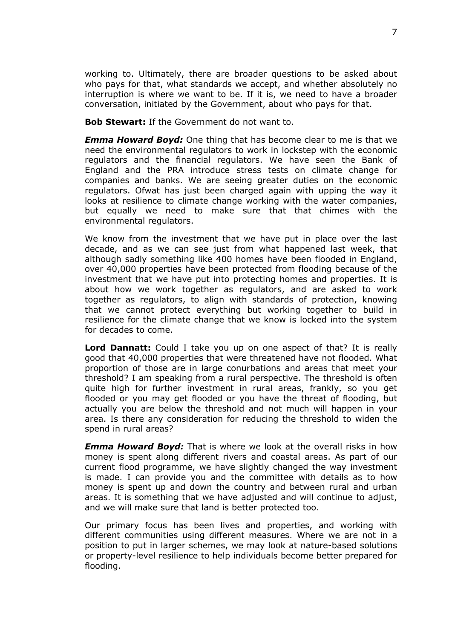working to. Ultimately, there are broader questions to be asked about who pays for that, what standards we accept, and whether absolutely no interruption is where we want to be. If it is, we need to have a broader conversation, initiated by the Government, about who pays for that.

**Bob Stewart:** If the Government do not want to.

*Emma Howard Boyd:* One thing that has become clear to me is that we need the environmental regulators to work in lockstep with the economic regulators and the financial regulators. We have seen the Bank of England and the PRA introduce stress tests on climate change for companies and banks. We are seeing greater duties on the economic regulators. Ofwat has just been charged again with upping the way it looks at resilience to climate change working with the water companies, but equally we need to make sure that that chimes with the environmental regulators.

We know from the investment that we have put in place over the last decade, and as we can see just from what happened last week, that although sadly something like 400 homes have been flooded in England, over 40,000 properties have been protected from flooding because of the investment that we have put into protecting homes and properties. It is about how we work together as regulators, and are asked to work together as regulators, to align with standards of protection, knowing that we cannot protect everything but working together to build in resilience for the climate change that we know is locked into the system for decades to come.

**Lord Dannatt:** Could I take you up on one aspect of that? It is really good that 40,000 properties that were threatened have not flooded. What proportion of those are in large conurbations and areas that meet your threshold? I am speaking from a rural perspective. The threshold is often quite high for further investment in rural areas, frankly, so you get flooded or you may get flooded or you have the threat of flooding, but actually you are below the threshold and not much will happen in your area. Is there any consideration for reducing the threshold to widen the spend in rural areas?

*Emma Howard Boyd:* That is where we look at the overall risks in how money is spent along different rivers and coastal areas. As part of our current flood programme, we have slightly changed the way investment is made. I can provide you and the committee with details as to how money is spent up and down the country and between rural and urban areas. It is something that we have adjusted and will continue to adjust, and we will make sure that land is better protected too.

Our primary focus has been lives and properties, and working with different communities using different measures. Where we are not in a position to put in larger schemes, we may look at nature-based solutions or property-level resilience to help individuals become better prepared for flooding.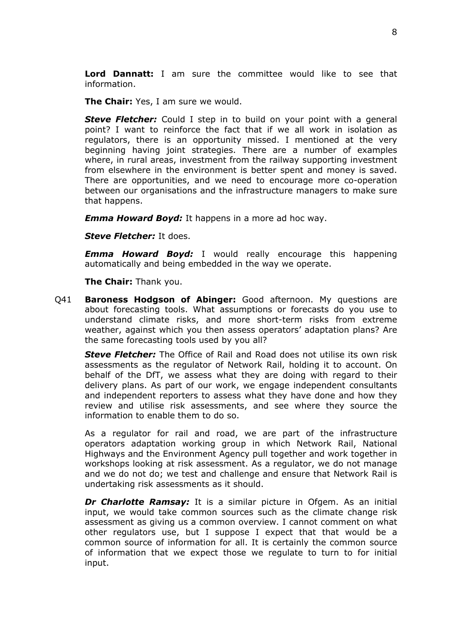**Lord Dannatt:** I am sure the committee would like to see that information.

**The Chair:** Yes, I am sure we would.

*Steve Fletcher:* Could I step in to build on your point with a general point? I want to reinforce the fact that if we all work in isolation as regulators, there is an opportunity missed. I mentioned at the very beginning having joint strategies. There are a number of examples where, in rural areas, investment from the railway supporting investment from elsewhere in the environment is better spent and money is saved. There are opportunities, and we need to encourage more co-operation between our organisations and the infrastructure managers to make sure that happens.

*Emma Howard Boyd:* It happens in a more ad hoc way.

*Steve Fletcher:* It does.

*Emma Howard Boyd:* I would really encourage this happening automatically and being embedded in the way we operate.

**The Chair:** Thank you.

Q41 **Baroness Hodgson of Abinger:** Good afternoon. My questions are about forecasting tools. What assumptions or forecasts do you use to understand climate risks, and more short-term risks from extreme weather, against which you then assess operators' adaptation plans? Are the same forecasting tools used by you all?

*Steve Fletcher:* The Office of Rail and Road does not utilise its own risk assessments as the regulator of Network Rail, holding it to account. On behalf of the DfT, we assess what they are doing with regard to their delivery plans. As part of our work, we engage independent consultants and independent reporters to assess what they have done and how they review and utilise risk assessments, and see where they source the information to enable them to do so.

As a regulator for rail and road, we are part of the infrastructure operators adaptation working group in which Network Rail, National Highways and the Environment Agency pull together and work together in workshops looking at risk assessment. As a regulator, we do not manage and we do not do; we test and challenge and ensure that Network Rail is undertaking risk assessments as it should.

*Dr Charlotte Ramsay:* It is a similar picture in Ofgem. As an initial input, we would take common sources such as the climate change risk assessment as giving us a common overview. I cannot comment on what other regulators use, but I suppose I expect that that would be a common source of information for all. It is certainly the common source of information that we expect those we regulate to turn to for initial input.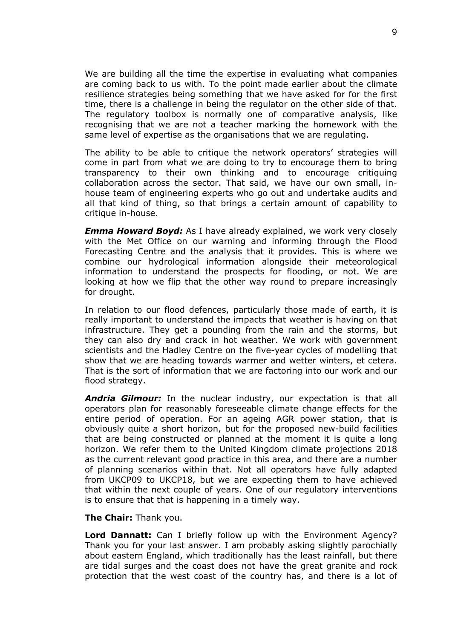We are building all the time the expertise in evaluating what companies are coming back to us with. To the point made earlier about the climate resilience strategies being something that we have asked for for the first time, there is a challenge in being the regulator on the other side of that. The regulatory toolbox is normally one of comparative analysis, like recognising that we are not a teacher marking the homework with the same level of expertise as the organisations that we are regulating.

The ability to be able to critique the network operators' strategies will come in part from what we are doing to try to encourage them to bring transparency to their own thinking and to encourage critiquing collaboration across the sector. That said, we have our own small, inhouse team of engineering experts who go out and undertake audits and all that kind of thing, so that brings a certain amount of capability to critique in-house.

*Emma Howard Boyd:* As I have already explained, we work very closely with the Met Office on our warning and informing through the Flood Forecasting Centre and the analysis that it provides. This is where we combine our hydrological information alongside their meteorological information to understand the prospects for flooding, or not. We are looking at how we flip that the other way round to prepare increasingly for drought.

In relation to our flood defences, particularly those made of earth, it is really important to understand the impacts that weather is having on that infrastructure. They get a pounding from the rain and the storms, but they can also dry and crack in hot weather. We work with government scientists and the Hadley Centre on the five-year cycles of modelling that show that we are heading towards warmer and wetter winters, et cetera. That is the sort of information that we are factoring into our work and our flood strategy.

*Andria Gilmour:* In the nuclear industry, our expectation is that all operators plan for reasonably foreseeable climate change effects for the entire period of operation. For an ageing AGR power station, that is obviously quite a short horizon, but for the proposed new-build facilities that are being constructed or planned at the moment it is quite a long horizon. We refer them to the United Kingdom climate projections 2018 as the current relevant good practice in this area, and there are a number of planning scenarios within that. Not all operators have fully adapted from UKCP09 to UKCP18, but we are expecting them to have achieved that within the next couple of years. One of our regulatory interventions is to ensure that that is happening in a timely way.

#### **The Chair:** Thank you.

**Lord Dannatt:** Can I briefly follow up with the Environment Agency? Thank you for your last answer. I am probably asking slightly parochially about eastern England, which traditionally has the least rainfall, but there are tidal surges and the coast does not have the great granite and rock protection that the west coast of the country has, and there is a lot of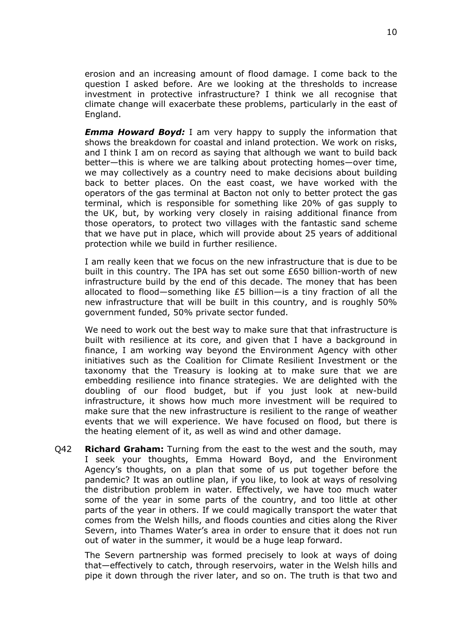erosion and an increasing amount of flood damage. I come back to the question I asked before. Are we looking at the thresholds to increase investment in protective infrastructure? I think we all recognise that climate change will exacerbate these problems, particularly in the east of England.

*Emma Howard Boyd:* I am very happy to supply the information that shows the breakdown for coastal and inland protection. We work on risks, and I think I am on record as saying that although we want to build back better—this is where we are talking about protecting homes—over time, we may collectively as a country need to make decisions about building back to better places. On the east coast, we have worked with the operators of the gas terminal at Bacton not only to better protect the gas terminal, which is responsible for something like 20% of gas supply to the UK, but, by working very closely in raising additional finance from those operators, to protect two villages with the fantastic sand scheme that we have put in place, which will provide about 25 years of additional protection while we build in further resilience.

I am really keen that we focus on the new infrastructure that is due to be built in this country. The IPA has set out some £650 billion-worth of new infrastructure build by the end of this decade. The money that has been allocated to flood—something like £5 billion—is a tiny fraction of all the new infrastructure that will be built in this country, and is roughly 50% government funded, 50% private sector funded.

We need to work out the best way to make sure that that infrastructure is built with resilience at its core, and given that I have a background in finance, I am working way beyond the Environment Agency with other initiatives such as the Coalition for Climate Resilient Investment or the taxonomy that the Treasury is looking at to make sure that we are embedding resilience into finance strategies. We are delighted with the doubling of our flood budget, but if you just look at new-build infrastructure, it shows how much more investment will be required to make sure that the new infrastructure is resilient to the range of weather events that we will experience. We have focused on flood, but there is the heating element of it, as well as wind and other damage.

Q42 **Richard Graham:** Turning from the east to the west and the south, may I seek your thoughts, Emma Howard Boyd, and the Environment Agency's thoughts, on a plan that some of us put together before the pandemic? It was an outline plan, if you like, to look at ways of resolving the distribution problem in water. Effectively, we have too much water some of the year in some parts of the country, and too little at other parts of the year in others. If we could magically transport the water that comes from the Welsh hills, and floods counties and cities along the River Severn, into Thames Water's area in order to ensure that it does not run out of water in the summer, it would be a huge leap forward.

The Severn partnership was formed precisely to look at ways of doing that—effectively to catch, through reservoirs, water in the Welsh hills and pipe it down through the river later, and so on. The truth is that two and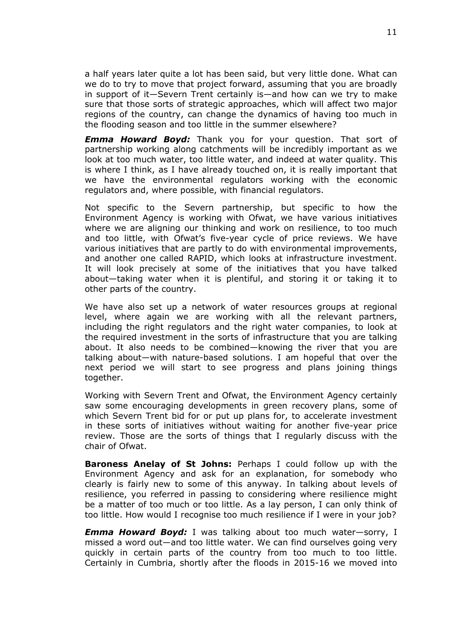a half years later quite a lot has been said, but very little done. What can we do to try to move that project forward, assuming that you are broadly in support of it—Severn Trent certainly is—and how can we try to make sure that those sorts of strategic approaches, which will affect two major regions of the country, can change the dynamics of having too much in the flooding season and too little in the summer elsewhere?

*Emma Howard Boyd:* Thank you for your question. That sort of partnership working along catchments will be incredibly important as we look at too much water, too little water, and indeed at water quality. This is where I think, as I have already touched on, it is really important that we have the environmental regulators working with the economic regulators and, where possible, with financial regulators.

Not specific to the Severn partnership, but specific to how the Environment Agency is working with Ofwat, we have various initiatives where we are aligning our thinking and work on resilience, to too much and too little, with Ofwat's five-year cycle of price reviews. We have various initiatives that are partly to do with environmental improvements, and another one called RAPID, which looks at infrastructure investment. It will look precisely at some of the initiatives that you have talked about—taking water when it is plentiful, and storing it or taking it to other parts of the country.

We have also set up a network of water resources groups at regional level, where again we are working with all the relevant partners, including the right regulators and the right water companies, to look at the required investment in the sorts of infrastructure that you are talking about. It also needs to be combined—knowing the river that you are talking about—with nature-based solutions. I am hopeful that over the next period we will start to see progress and plans joining things together.

Working with Severn Trent and Ofwat, the Environment Agency certainly saw some encouraging developments in green recovery plans, some of which Severn Trent bid for or put up plans for, to accelerate investment in these sorts of initiatives without waiting for another five-year price review. Those are the sorts of things that I regularly discuss with the chair of Ofwat.

**Baroness Anelay of St Johns:** Perhaps I could follow up with the Environment Agency and ask for an explanation, for somebody who clearly is fairly new to some of this anyway. In talking about levels of resilience, you referred in passing to considering where resilience might be a matter of too much or too little. As a lay person, I can only think of too little. How would I recognise too much resilience if I were in your job?

*Emma Howard Boyd:* I was talking about too much water—sorry, I missed a word out—and too little water. We can find ourselves going very quickly in certain parts of the country from too much to too little. Certainly in Cumbria, shortly after the floods in 2015-16 we moved into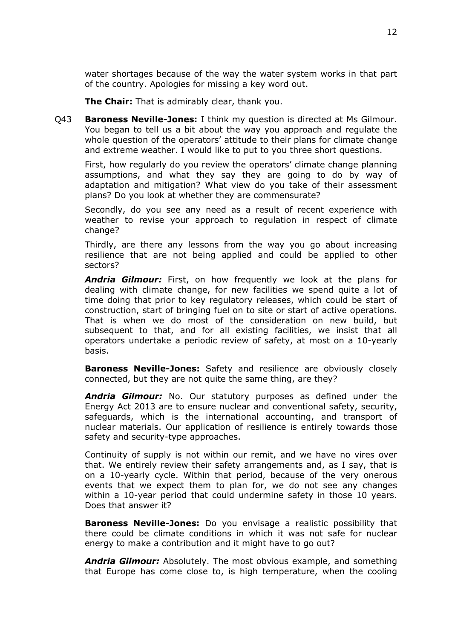water shortages because of the way the water system works in that part of the country. Apologies for missing a key word out.

**The Chair:** That is admirably clear, thank you.

Q43 **Baroness Neville-Jones:** I think my question is directed at Ms Gilmour. You began to tell us a bit about the way you approach and regulate the whole question of the operators' attitude to their plans for climate change and extreme weather. I would like to put to you three short questions.

First, how regularly do you review the operators' climate change planning assumptions, and what they say they are going to do by way of adaptation and mitigation? What view do you take of their assessment plans? Do you look at whether they are commensurate?

Secondly, do you see any need as a result of recent experience with weather to revise your approach to regulation in respect of climate change?

Thirdly, are there any lessons from the way you go about increasing resilience that are not being applied and could be applied to other sectors?

*Andria Gilmour:* First, on how frequently we look at the plans for dealing with climate change, for new facilities we spend quite a lot of time doing that prior to key regulatory releases, which could be start of construction, start of bringing fuel on to site or start of active operations. That is when we do most of the consideration on new build, but subsequent to that, and for all existing facilities, we insist that all operators undertake a periodic review of safety, at most on a 10-yearly basis.

**Baroness Neville-Jones:** Safety and resilience are obviously closely connected, but they are not quite the same thing, are they?

*Andria Gilmour:* No. Our statutory purposes as defined under the Energy Act 2013 are to ensure nuclear and conventional safety, security, safeguards, which is the international accounting, and transport of nuclear materials. Our application of resilience is entirely towards those safety and security-type approaches.

Continuity of supply is not within our remit, and we have no vires over that. We entirely review their safety arrangements and, as I say, that is on a 10-yearly cycle. Within that period, because of the very onerous events that we expect them to plan for, we do not see any changes within a 10-year period that could undermine safety in those 10 years. Does that answer it?

**Baroness Neville-Jones:** Do you envisage a realistic possibility that there could be climate conditions in which it was not safe for nuclear energy to make a contribution and it might have to go out?

*Andria Gilmour:* Absolutely. The most obvious example, and something that Europe has come close to, is high temperature, when the cooling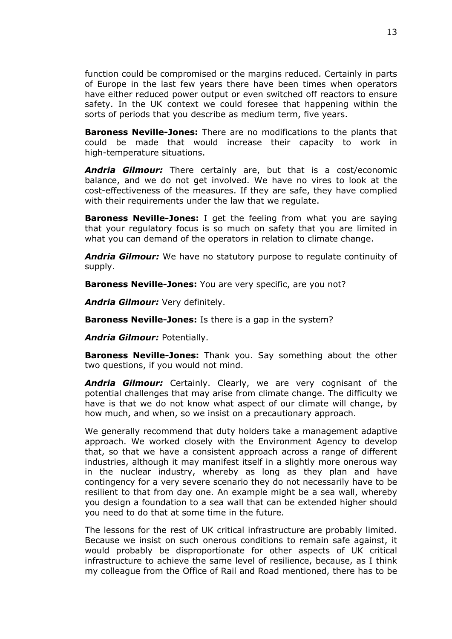function could be compromised or the margins reduced. Certainly in parts of Europe in the last few years there have been times when operators have either reduced power output or even switched off reactors to ensure safety. In the UK context we could foresee that happening within the sorts of periods that you describe as medium term, five years.

**Baroness Neville-Jones:** There are no modifications to the plants that could be made that would increase their capacity to work in high-temperature situations.

*Andria Gilmour:* There certainly are, but that is a cost/economic balance, and we do not get involved. We have no vires to look at the cost-effectiveness of the measures. If they are safe, they have complied with their requirements under the law that we regulate.

**Baroness Neville-Jones:** I get the feeling from what you are saying that your regulatory focus is so much on safety that you are limited in what you can demand of the operators in relation to climate change.

*Andria Gilmour:* We have no statutory purpose to regulate continuity of supply.

**Baroness Neville-Jones:** You are very specific, are you not?

*Andria Gilmour:* Very definitely.

**Baroness Neville-Jones:** Is there is a gap in the system?

*Andria Gilmour:* Potentially.

**Baroness Neville-Jones:** Thank you. Say something about the other two questions, if you would not mind.

*Andria Gilmour:* Certainly. Clearly, we are very cognisant of the potential challenges that may arise from climate change. The difficulty we have is that we do not know what aspect of our climate will change, by how much, and when, so we insist on a precautionary approach.

We generally recommend that duty holders take a management adaptive approach. We worked closely with the Environment Agency to develop that, so that we have a consistent approach across a range of different industries, although it may manifest itself in a slightly more onerous way in the nuclear industry, whereby as long as they plan and have contingency for a very severe scenario they do not necessarily have to be resilient to that from day one. An example might be a sea wall, whereby you design a foundation to a sea wall that can be extended higher should you need to do that at some time in the future.

The lessons for the rest of UK critical infrastructure are probably limited. Because we insist on such onerous conditions to remain safe against, it would probably be disproportionate for other aspects of UK critical infrastructure to achieve the same level of resilience, because, as I think my colleague from the Office of Rail and Road mentioned, there has to be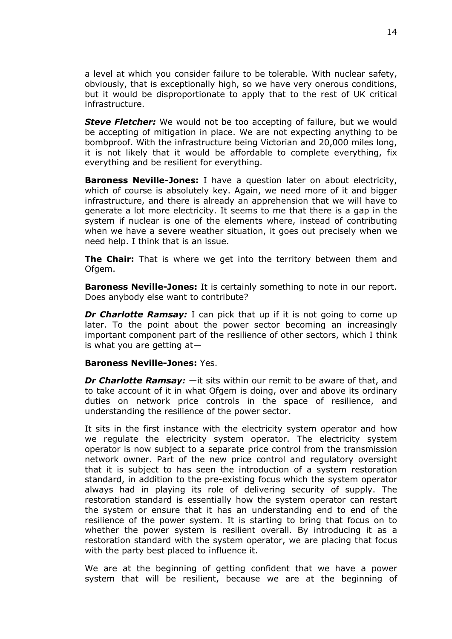a level at which you consider failure to be tolerable. With nuclear safety, obviously, that is exceptionally high, so we have very onerous conditions, but it would be disproportionate to apply that to the rest of UK critical infrastructure.

**Steve Fletcher:** We would not be too accepting of failure, but we would be accepting of mitigation in place. We are not expecting anything to be bombproof. With the infrastructure being Victorian and 20,000 miles long, it is not likely that it would be affordable to complete everything, fix everything and be resilient for everything.

**Baroness Neville-Jones:** I have a question later on about electricity, which of course is absolutely key. Again, we need more of it and bigger infrastructure, and there is already an apprehension that we will have to generate a lot more electricity. It seems to me that there is a gap in the system if nuclear is one of the elements where, instead of contributing when we have a severe weather situation, it goes out precisely when we need help. I think that is an issue.

**The Chair:** That is where we get into the territory between them and Ofgem.

**Baroness Neville-Jones:** It is certainly something to note in our report. Does anybody else want to contribute?

*Dr Charlotte Ramsay:* I can pick that up if it is not going to come up later. To the point about the power sector becoming an increasingly important component part of the resilience of other sectors, which I think is what you are getting at—

#### **Baroness Neville-Jones:** Yes.

*Dr Charlotte Ramsay:* —it sits within our remit to be aware of that, and to take account of it in what Ofgem is doing, over and above its ordinary duties on network price controls in the space of resilience, and understanding the resilience of the power sector.

It sits in the first instance with the electricity system operator and how we regulate the electricity system operator. The electricity system operator is now subject to a separate price control from the transmission network owner. Part of the new price control and regulatory oversight that it is subject to has seen the introduction of a system restoration standard, in addition to the pre-existing focus which the system operator always had in playing its role of delivering security of supply. The restoration standard is essentially how the system operator can restart the system or ensure that it has an understanding end to end of the resilience of the power system. It is starting to bring that focus on to whether the power system is resilient overall. By introducing it as a restoration standard with the system operator, we are placing that focus with the party best placed to influence it.

We are at the beginning of getting confident that we have a power system that will be resilient, because we are at the beginning of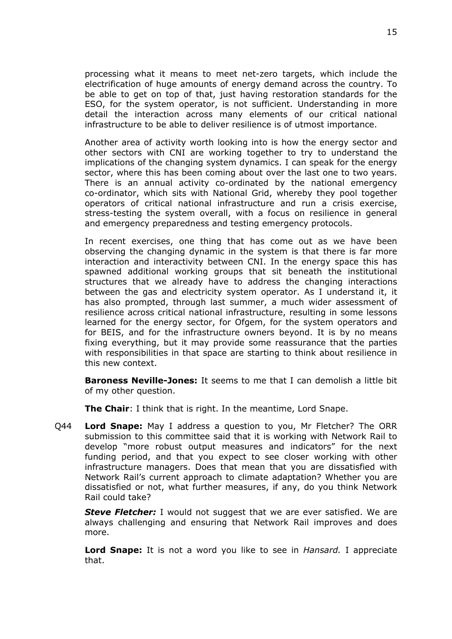processing what it means to meet net-zero targets, which include the electrification of huge amounts of energy demand across the country. To be able to get on top of that, just having restoration standards for the ESO, for the system operator, is not sufficient. Understanding in more detail the interaction across many elements of our critical national infrastructure to be able to deliver resilience is of utmost importance.

Another area of activity worth looking into is how the energy sector and other sectors with CNI are working together to try to understand the implications of the changing system dynamics. I can speak for the energy sector, where this has been coming about over the last one to two years. There is an annual activity co-ordinated by the national emergency co-ordinator, which sits with National Grid, whereby they pool together operators of critical national infrastructure and run a crisis exercise, stress-testing the system overall, with a focus on resilience in general and emergency preparedness and testing emergency protocols.

In recent exercises, one thing that has come out as we have been observing the changing dynamic in the system is that there is far more interaction and interactivity between CNI. In the energy space this has spawned additional working groups that sit beneath the institutional structures that we already have to address the changing interactions between the gas and electricity system operator. As I understand it, it has also prompted, through last summer, a much wider assessment of resilience across critical national infrastructure, resulting in some lessons learned for the energy sector, for Ofgem, for the system operators and for BEIS, and for the infrastructure owners beyond. It is by no means fixing everything, but it may provide some reassurance that the parties with responsibilities in that space are starting to think about resilience in this new context.

**Baroness Neville-Jones:** It seems to me that I can demolish a little bit of my other question.

**The Chair**: I think that is right. In the meantime, Lord Snape.

Q44 **Lord Snape:** May I address a question to you, Mr Fletcher? The ORR submission to this committee said that it is working with Network Rail to develop "more robust output measures and indicators" for the next funding period, and that you expect to see closer working with other infrastructure managers. Does that mean that you are dissatisfied with Network Rail's current approach to climate adaptation? Whether you are dissatisfied or not, what further measures, if any, do you think Network Rail could take?

*Steve Fletcher:* I would not suggest that we are ever satisfied. We are always challenging and ensuring that Network Rail improves and does more.

**Lord Snape:** It is not a word you like to see in *Hansard.* I appreciate that.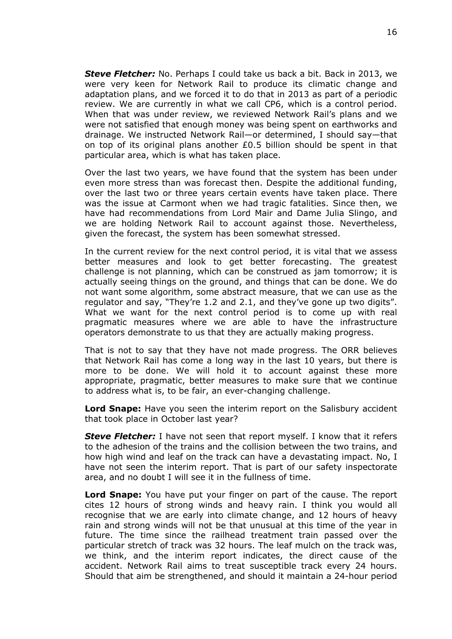*Steve Fletcher:* No. Perhaps I could take us back a bit. Back in 2013, we were very keen for Network Rail to produce its climatic change and adaptation plans, and we forced it to do that in 2013 as part of a periodic review. We are currently in what we call CP6, which is a control period. When that was under review, we reviewed Network Rail's plans and we were not satisfied that enough money was being spent on earthworks and drainage. We instructed Network Rail—or determined, I should say—that on top of its original plans another £0.5 billion should be spent in that particular area, which is what has taken place.

Over the last two years, we have found that the system has been under even more stress than was forecast then. Despite the additional funding, over the last two or three years certain events have taken place. There was the issue at Carmont when we had tragic fatalities. Since then, we have had recommendations from Lord Mair and Dame Julia Slingo, and we are holding Network Rail to account against those. Nevertheless, given the forecast, the system has been somewhat stressed.

In the current review for the next control period, it is vital that we assess better measures and look to get better forecasting. The greatest challenge is not planning, which can be construed as jam tomorrow; it is actually seeing things on the ground, and things that can be done. We do not want some algorithm, some abstract measure, that we can use as the regulator and say, "They're 1.2 and 2.1, and they've gone up two digits". What we want for the next control period is to come up with real pragmatic measures where we are able to have the infrastructure operators demonstrate to us that they are actually making progress.

That is not to say that they have not made progress. The ORR believes that Network Rail has come a long way in the last 10 years, but there is more to be done. We will hold it to account against these more appropriate, pragmatic, better measures to make sure that we continue to address what is, to be fair, an ever-changing challenge.

**Lord Snape:** Have you seen the interim report on the Salisbury accident that took place in October last year?

*Steve Fletcher:* I have not seen that report myself. I know that it refers to the adhesion of the trains and the collision between the two trains, and how high wind and leaf on the track can have a devastating impact. No, I have not seen the interim report. That is part of our safety inspectorate area, and no doubt I will see it in the fullness of time.

**Lord Snape:** You have put your finger on part of the cause. The report cites 12 hours of strong winds and heavy rain. I think you would all recognise that we are early into climate change, and 12 hours of heavy rain and strong winds will not be that unusual at this time of the year in future. The time since the railhead treatment train passed over the particular stretch of track was 32 hours. The leaf mulch on the track was, we think, and the interim report indicates, the direct cause of the accident. Network Rail aims to treat susceptible track every 24 hours. Should that aim be strengthened, and should it maintain a 24-hour period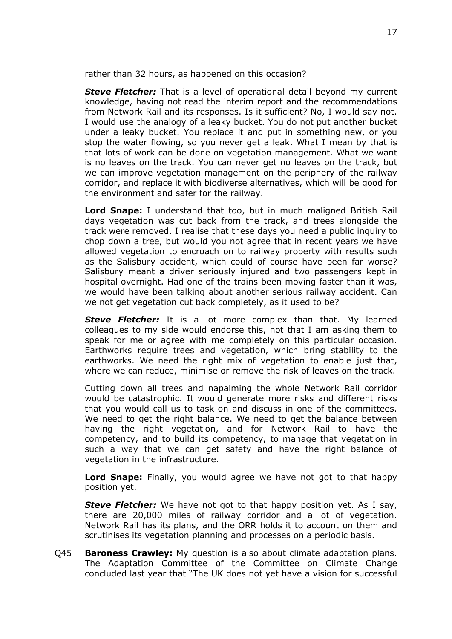rather than 32 hours, as happened on this occasion?

*Steve Fletcher:* That is a level of operational detail beyond my current knowledge, having not read the interim report and the recommendations from Network Rail and its responses. Is it sufficient? No, I would say not. I would use the analogy of a leaky bucket. You do not put another bucket under a leaky bucket. You replace it and put in something new, or you stop the water flowing, so you never get a leak. What I mean by that is that lots of work can be done on vegetation management. What we want is no leaves on the track. You can never get no leaves on the track, but we can improve vegetation management on the periphery of the railway corridor, and replace it with biodiverse alternatives, which will be good for the environment and safer for the railway.

**Lord Snape:** I understand that too, but in much maligned British Rail days vegetation was cut back from the track, and trees alongside the track were removed. I realise that these days you need a public inquiry to chop down a tree, but would you not agree that in recent years we have allowed vegetation to encroach on to railway property with results such as the Salisbury accident, which could of course have been far worse? Salisbury meant a driver seriously injured and two passengers kept in hospital overnight. Had one of the trains been moving faster than it was, we would have been talking about another serious railway accident. Can we not get vegetation cut back completely, as it used to be?

*Steve Fletcher:* It is a lot more complex than that. My learned colleagues to my side would endorse this, not that I am asking them to speak for me or agree with me completely on this particular occasion. Earthworks require trees and vegetation, which bring stability to the earthworks. We need the right mix of vegetation to enable just that, where we can reduce, minimise or remove the risk of leaves on the track.

Cutting down all trees and napalming the whole Network Rail corridor would be catastrophic. It would generate more risks and different risks that you would call us to task on and discuss in one of the committees. We need to get the right balance. We need to get the balance between having the right vegetation, and for Network Rail to have the competency, and to build its competency, to manage that vegetation in such a way that we can get safety and have the right balance of vegetation in the infrastructure.

**Lord Snape:** Finally, you would agree we have not got to that happy position yet.

*Steve Fletcher:* We have not got to that happy position yet. As I say, there are 20,000 miles of railway corridor and a lot of vegetation. Network Rail has its plans, and the ORR holds it to account on them and scrutinises its vegetation planning and processes on a periodic basis.

Q45 **Baroness Crawley:** My question is also about climate adaptation plans. The Adaptation Committee of the Committee on Climate Change concluded last year that "The UK does not yet have a vision for successful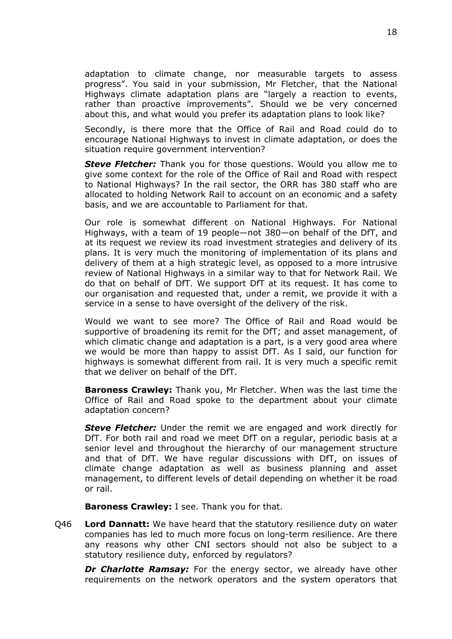adaptation to climate change, nor measurable targets to assess progress". You said in your submission, Mr Fletcher, that the National Highways climate adaptation plans are "largely a reaction to events, rather than proactive improvements". Should we be very concerned about this, and what would you prefer its adaptation plans to look like?

Secondly, is there more that the Office of Rail and Road could do to encourage National Highways to invest in climate adaptation, or does the situation require government intervention?

*Steve Fletcher:* Thank you for those questions. Would you allow me to give some context for the role of the Office of Rail and Road with respect to National Highways? In the rail sector, the ORR has 380 staff who are allocated to holding Network Rail to account on an economic and a safety basis, and we are accountable to Parliament for that.

Our role is somewhat different on National Highways. For National Highways, with a team of 19 people—not 380—on behalf of the DfT, and at its request we review its road investment strategies and delivery of its plans. It is very much the monitoring of implementation of its plans and delivery of them at a high strategic level, as opposed to a more intrusive review of National Highways in a similar way to that for Network Rail. We do that on behalf of DfT. We support DfT at its request. It has come to our organisation and requested that, under a remit, we provide it with a service in a sense to have oversight of the delivery of the risk.

Would we want to see more? The Office of Rail and Road would be supportive of broadening its remit for the DfT; and asset management, of which climatic change and adaptation is a part, is a very good area where we would be more than happy to assist DfT. As I said, our function for highways is somewhat different from rail. It is very much a specific remit that we deliver on behalf of the DfT.

**Baroness Crawley:** Thank you, Mr Fletcher. When was the last time the Office of Rail and Road spoke to the department about your climate adaptation concern?

*Steve Fletcher:* Under the remit we are engaged and work directly for DfT. For both rail and road we meet DfT on a regular, periodic basis at a senior level and throughout the hierarchy of our management structure and that of DfT. We have regular discussions with DfT, on issues of climate change adaptation as well as business planning and asset management, to different levels of detail depending on whether it be road or rail.

**Baroness Crawley:** I see. Thank you for that.

Q46 **Lord Dannatt:** We have heard that the statutory resilience duty on water companies has led to much more focus on long-term resilience. Are there any reasons why other CNI sectors should not also be subject to a statutory resilience duty, enforced by regulators?

*Dr Charlotte Ramsay:* For the energy sector, we already have other requirements on the network operators and the system operators that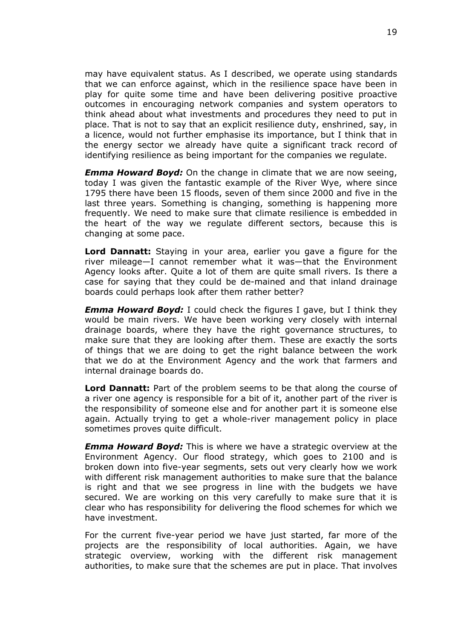may have equivalent status. As I described, we operate using standards that we can enforce against, which in the resilience space have been in play for quite some time and have been delivering positive proactive outcomes in encouraging network companies and system operators to think ahead about what investments and procedures they need to put in place. That is not to say that an explicit resilience duty, enshrined, say, in a licence, would not further emphasise its importance, but I think that in the energy sector we already have quite a significant track record of identifying resilience as being important for the companies we regulate.

*Emma Howard Boyd:* On the change in climate that we are now seeing, today I was given the fantastic example of the River Wye, where since 1795 there have been 15 floods, seven of them since 2000 and five in the last three years. Something is changing, something is happening more frequently. We need to make sure that climate resilience is embedded in the heart of the way we regulate different sectors, because this is changing at some pace.

**Lord Dannatt:** Staying in your area, earlier you gave a figure for the river mileage—I cannot remember what it was—that the Environment Agency looks after. Quite a lot of them are quite small rivers. Is there a case for saying that they could be de-mained and that inland drainage boards could perhaps look after them rather better?

*Emma Howard Boyd:* I could check the figures I gave, but I think they would be main rivers. We have been working very closely with internal drainage boards, where they have the right governance structures, to make sure that they are looking after them. These are exactly the sorts of things that we are doing to get the right balance between the work that we do at the Environment Agency and the work that farmers and internal drainage boards do.

**Lord Dannatt:** Part of the problem seems to be that along the course of a river one agency is responsible for a bit of it, another part of the river is the responsibility of someone else and for another part it is someone else again. Actually trying to get a whole-river management policy in place sometimes proves quite difficult.

*Emma Howard Boyd:* This is where we have a strategic overview at the Environment Agency. Our flood strategy, which goes to 2100 and is broken down into five-year segments, sets out very clearly how we work with different risk management authorities to make sure that the balance is right and that we see progress in line with the budgets we have secured. We are working on this very carefully to make sure that it is clear who has responsibility for delivering the flood schemes for which we have investment.

For the current five-year period we have just started, far more of the projects are the responsibility of local authorities. Again, we have strategic overview, working with the different risk management authorities, to make sure that the schemes are put in place. That involves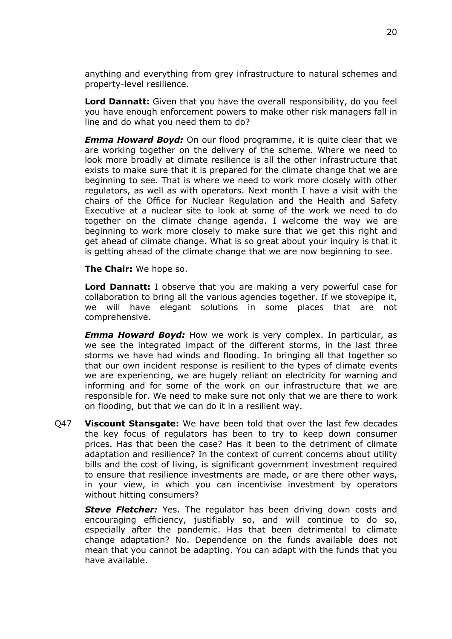anything and everything from grey infrastructure to natural schemes and property-level resilience.

**Lord Dannatt:** Given that you have the overall responsibility, do you feel you have enough enforcement powers to make other risk managers fall in line and do what you need them to do?

*Emma Howard Boyd:* On our flood programme, it is quite clear that we are working together on the delivery of the scheme. Where we need to look more broadly at climate resilience is all the other infrastructure that exists to make sure that it is prepared for the climate change that we are beginning to see. That is where we need to work more closely with other regulators, as well as with operators. Next month I have a visit with the chairs of the Office for Nuclear Regulation and the Health and Safety Executive at a nuclear site to look at some of the work we need to do together on the climate change agenda. I welcome the way we are beginning to work more closely to make sure that we get this right and get ahead of climate change. What is so great about your inquiry is that it is getting ahead of the climate change that we are now beginning to see.

**The Chair:** We hope so.

**Lord Dannatt:** I observe that you are making a very powerful case for collaboration to bring all the various agencies together. If we stovepipe it, we will have elegant solutions in some places that are not comprehensive.

*Emma Howard Boyd:* How we work is very complex. In particular, as we see the integrated impact of the different storms, in the last three storms we have had winds and flooding. In bringing all that together so that our own incident response is resilient to the types of climate events we are experiencing, we are hugely reliant on electricity for warning and informing and for some of the work on our infrastructure that we are responsible for. We need to make sure not only that we are there to work on flooding, but that we can do it in a resilient way.

Q47 **Viscount Stansgate:** We have been told that over the last few decades the key focus of regulators has been to try to keep down consumer prices. Has that been the case? Has it been to the detriment of climate adaptation and resilience? In the context of current concerns about utility bills and the cost of living, is significant government investment required to ensure that resilience investments are made, or are there other ways, in your view, in which you can incentivise investment by operators without hitting consumers?

*Steve Fletcher:* Yes. The regulator has been driving down costs and encouraging efficiency, justifiably so, and will continue to do so, especially after the pandemic. Has that been detrimental to climate change adaptation? No. Dependence on the funds available does not mean that you cannot be adapting. You can adapt with the funds that you have available.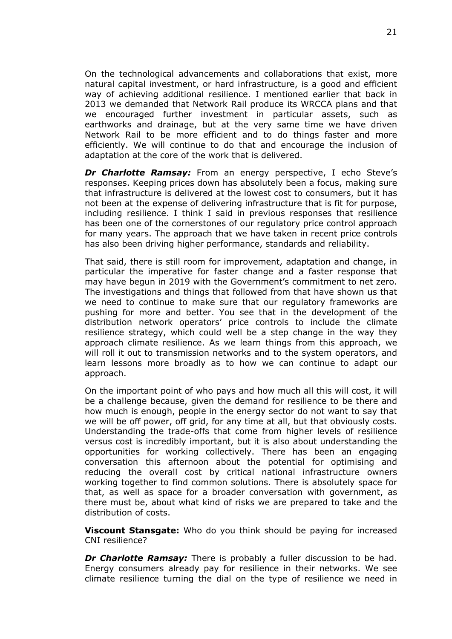On the technological advancements and collaborations that exist, more natural capital investment, or hard infrastructure, is a good and efficient way of achieving additional resilience. I mentioned earlier that back in 2013 we demanded that Network Rail produce its WRCCA plans and that we encouraged further investment in particular assets, such as earthworks and drainage, but at the very same time we have driven Network Rail to be more efficient and to do things faster and more efficiently. We will continue to do that and encourage the inclusion of adaptation at the core of the work that is delivered.

*Dr Charlotte Ramsay:* From an energy perspective, I echo Steve's responses. Keeping prices down has absolutely been a focus, making sure that infrastructure is delivered at the lowest cost to consumers, but it has not been at the expense of delivering infrastructure that is fit for purpose, including resilience. I think I said in previous responses that resilience has been one of the cornerstones of our regulatory price control approach for many years. The approach that we have taken in recent price controls has also been driving higher performance, standards and reliability.

That said, there is still room for improvement, adaptation and change, in particular the imperative for faster change and a faster response that may have begun in 2019 with the Government's commitment to net zero. The investigations and things that followed from that have shown us that we need to continue to make sure that our regulatory frameworks are pushing for more and better. You see that in the development of the distribution network operators' price controls to include the climate resilience strategy, which could well be a step change in the way they approach climate resilience. As we learn things from this approach, we will roll it out to transmission networks and to the system operators, and learn lessons more broadly as to how we can continue to adapt our approach.

On the important point of who pays and how much all this will cost, it will be a challenge because, given the demand for resilience to be there and how much is enough, people in the energy sector do not want to say that we will be off power, off grid, for any time at all, but that obviously costs. Understanding the trade-offs that come from higher levels of resilience versus cost is incredibly important, but it is also about understanding the opportunities for working collectively. There has been an engaging conversation this afternoon about the potential for optimising and reducing the overall cost by critical national infrastructure owners working together to find common solutions. There is absolutely space for that, as well as space for a broader conversation with government, as there must be, about what kind of risks we are prepared to take and the distribution of costs.

**Viscount Stansgate:** Who do you think should be paying for increased CNI resilience?

*Dr Charlotte Ramsay:* There is probably a fuller discussion to be had. Energy consumers already pay for resilience in their networks. We see climate resilience turning the dial on the type of resilience we need in